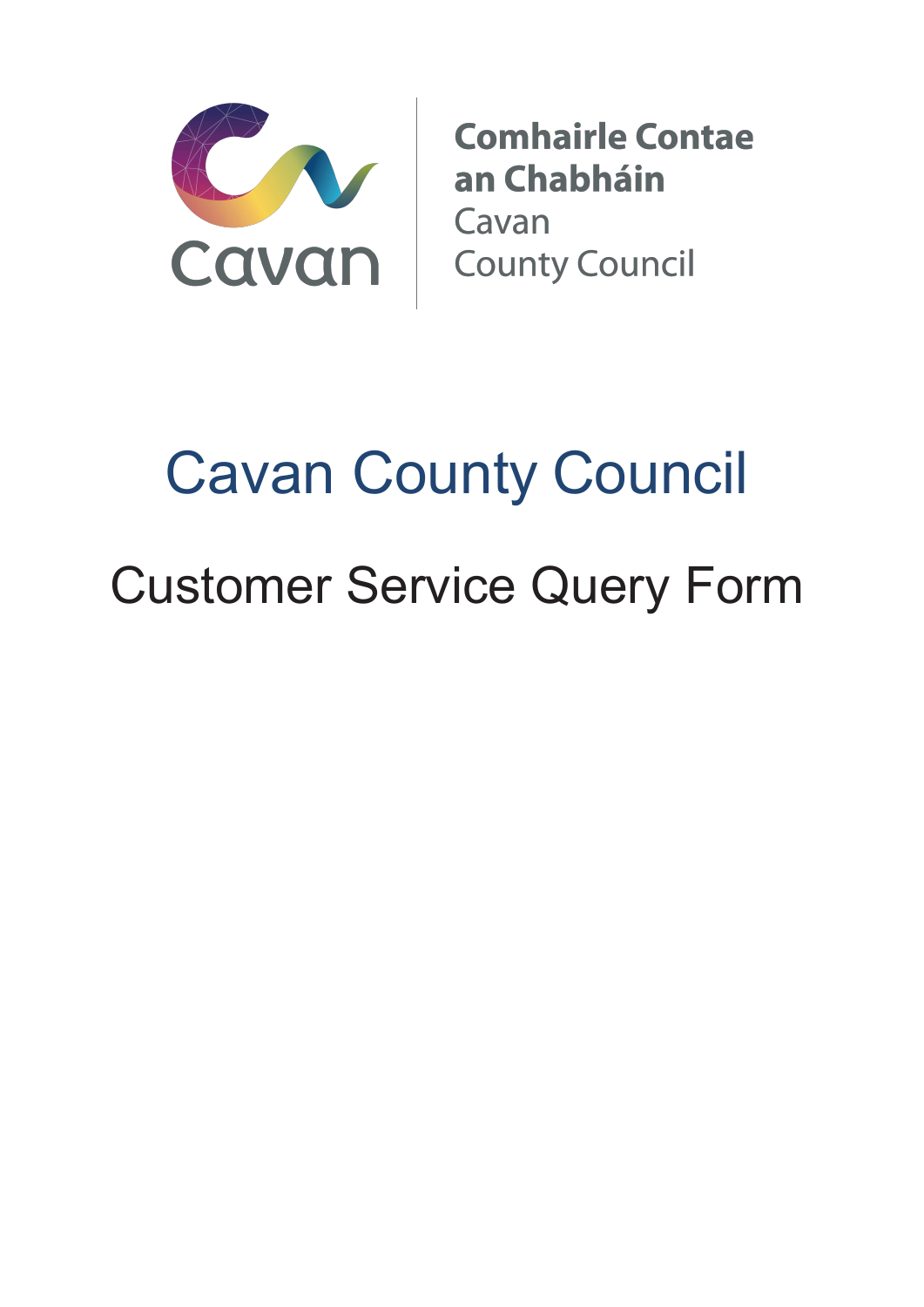

**Comhairle Contae** an Chabháin Cavan **County Council** 

## Cavan County Council Customer Service Query Form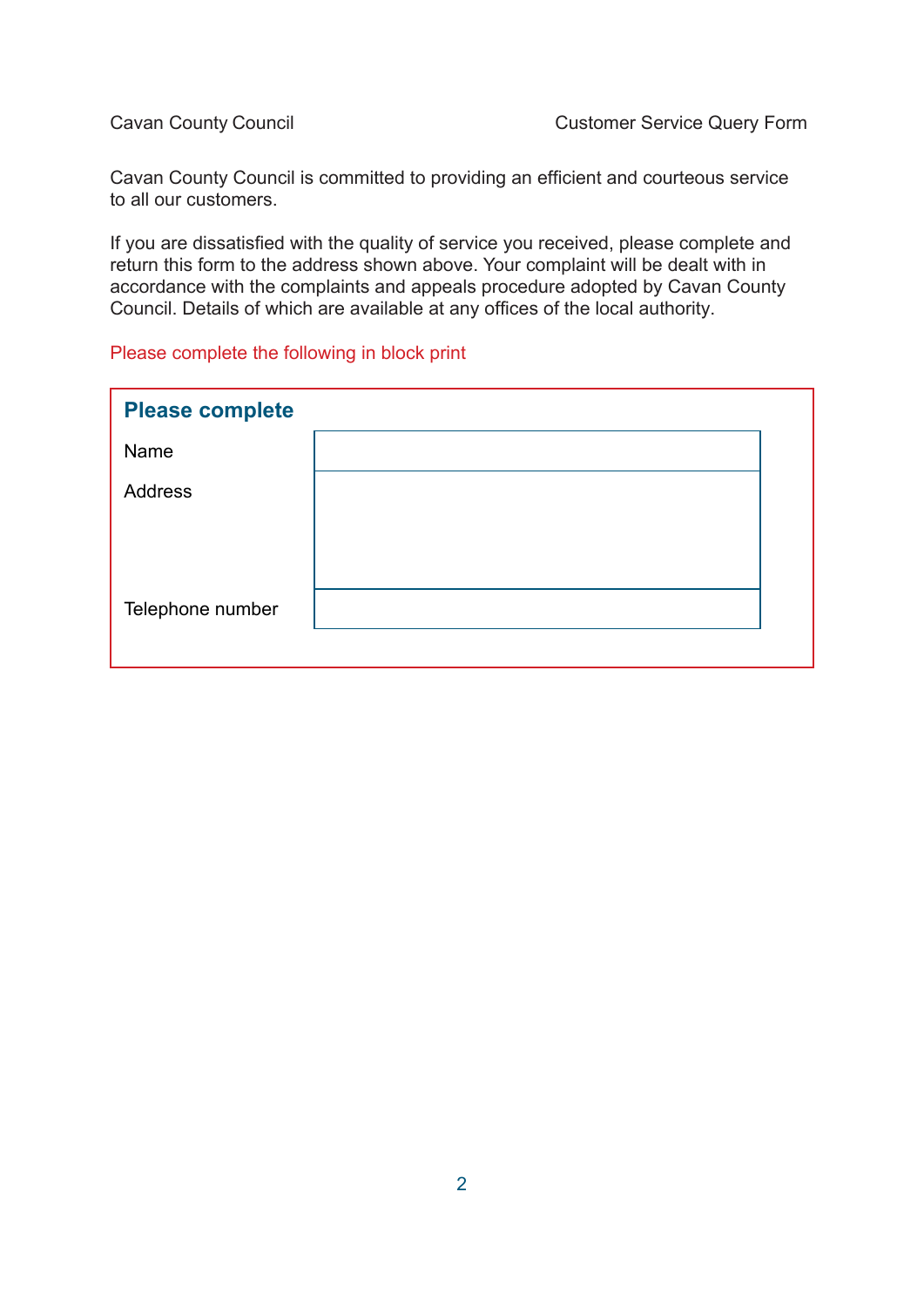Cavan County Council is committed to providing an efficient and courteous service to all our customers.

If you are dissatisfied with the quality of service you received, please complete and return this form to the address shown above. Your complaint will be dealt with in accordance with the complaints and appeals procedure adopted by Cavan County Council. Details of which are available at any offices of the local authority.

## Please complete the following in block print

| <b>Please complete</b> |  |
|------------------------|--|
| Name                   |  |
| Address                |  |
|                        |  |
|                        |  |
| Telephone number       |  |
|                        |  |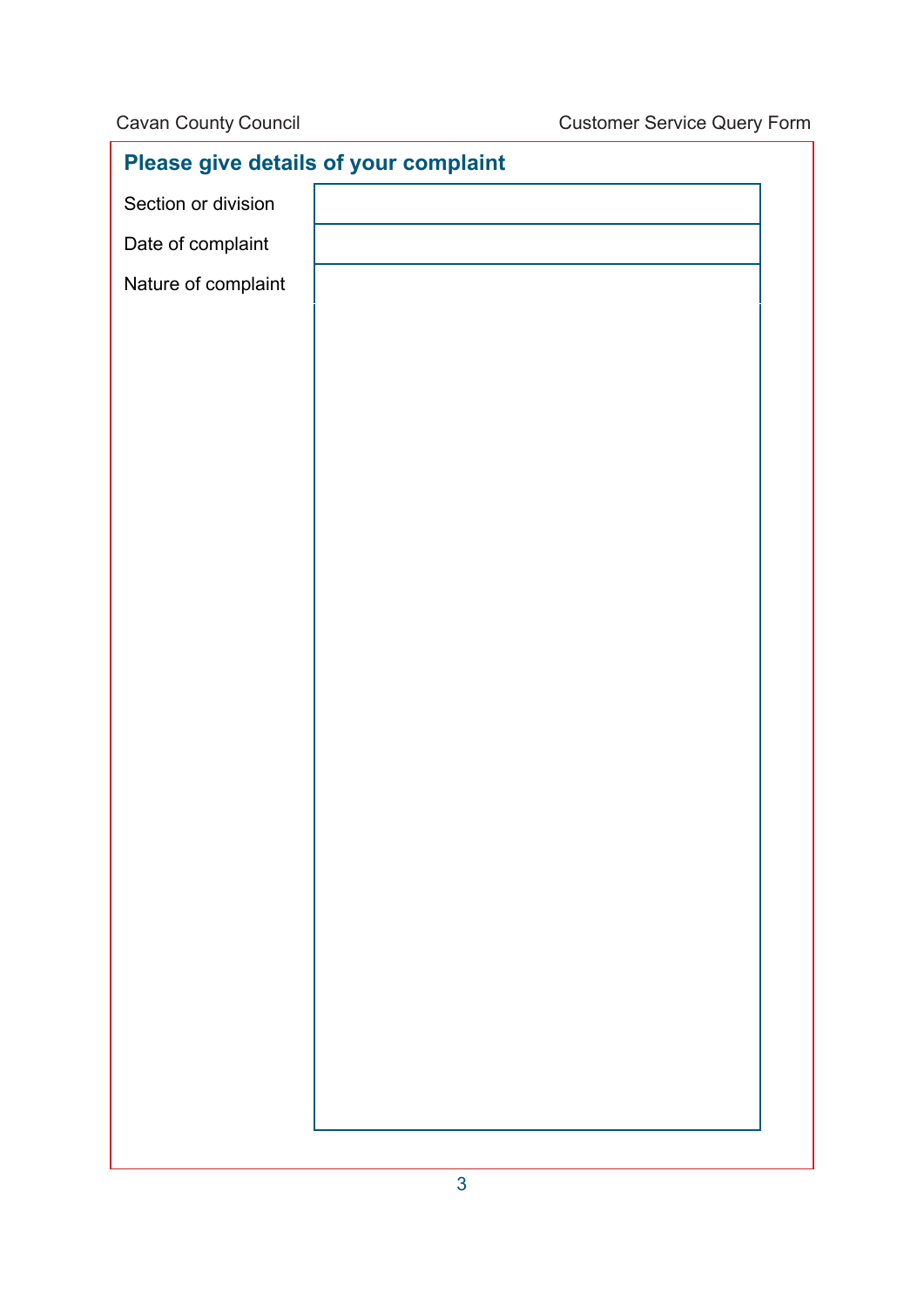| Please give details of your complaint |  |  |  |
|---------------------------------------|--|--|--|
| Section or division                   |  |  |  |
| Date of complaint                     |  |  |  |
| Nature of complaint                   |  |  |  |
|                                       |  |  |  |
|                                       |  |  |  |
|                                       |  |  |  |
|                                       |  |  |  |
|                                       |  |  |  |
|                                       |  |  |  |
|                                       |  |  |  |
|                                       |  |  |  |
|                                       |  |  |  |
|                                       |  |  |  |
|                                       |  |  |  |
|                                       |  |  |  |
|                                       |  |  |  |
|                                       |  |  |  |
|                                       |  |  |  |
|                                       |  |  |  |
|                                       |  |  |  |
|                                       |  |  |  |
|                                       |  |  |  |
|                                       |  |  |  |
|                                       |  |  |  |
|                                       |  |  |  |
|                                       |  |  |  |